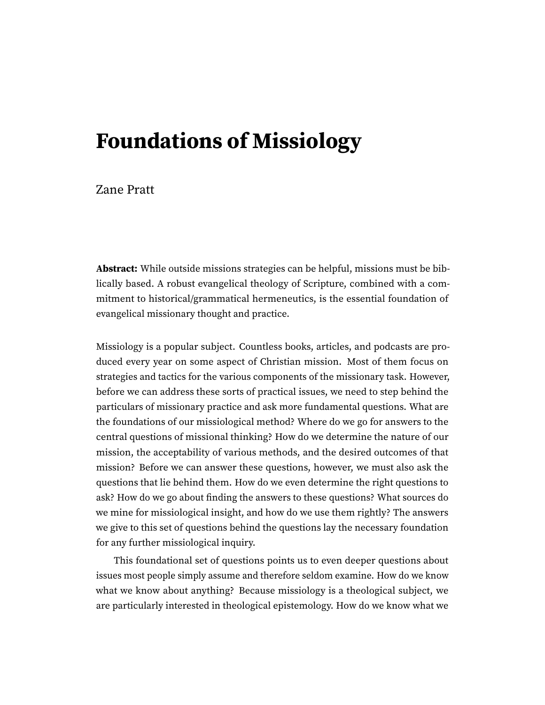# **Foundations of Missiology**

#### Zane Pratt

**Abstract:** While outside missions strategies can be helpful, missions must be biblically based. A robust evangelical theology of Scripture, combined with a commitment to historical/grammatical hermeneutics, is the essential foundation of evangelical missionary thought and practice.

Missiology is a popular subject. Countless books, articles, and podcasts are produced every year on some aspect of Christian mission. Most of them focus on strategies and tactics for the various components of the missionary task. However, before we can address these sorts of practical issues, we need to step behind the particulars of missionary practice and ask more fundamental questions. What are the foundations of our missiological method? Where do we go for answers to the central questions of missional thinking? How do we determine the nature of our mission, the acceptability of various methods, and the desired outcomes of that mission? Before we can answer these questions, however, we must also ask the questions that lie behind them. How do we even determine the right questions to ask? How do we go about finding the answers to these questions? What sources do we mine for missiological insight, and how do we use them rightly? The answers we give to this set of questions behind the questions lay the necessary foundation for any further missiological inquiry.

This foundational set of questions points us to even deeper questions about issues most people simply assume and therefore seldom examine. How do we know what we know about anything? Because missiology is a theological subject, we are particularly interested in theological epistemology. How do we know what we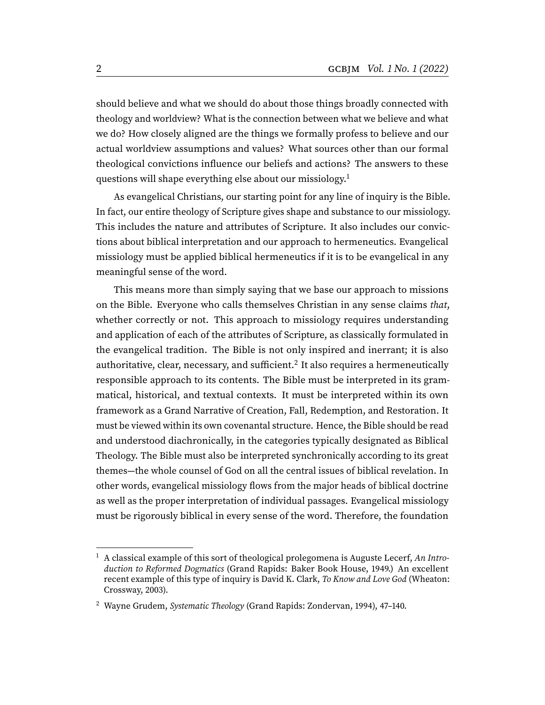should believe and what we should do about those things broadly connected with theology and worldview? What is the connection between what we believe and what we do? How closely aligned are the things we formally profess to believe and our actual worldview assumptions and values? What sources other than our formal theological convictions influence our beliefs and actions? The answers to these questions will shape everything else about our missiology.<sup>[1](#page-1-0)</sup>

<span id="page-1-2"></span>As evangelical Christians, our starting point for any line of inquiry is the Bible. In fact, our entire theology of Scripture gives shape and substance to our missiology. This includes the nature and attributes of Scripture. It also includes our convictions about biblical interpretation and our approach to hermeneutics. Evangelical missiology must be applied biblical hermeneutics if it is to be evangelical in any meaningful sense of the word.

<span id="page-1-3"></span>This means more than simply saying that we base our approach to missions on the Bible. Everyone who calls themselves Christian in any sense claims that, whether correctly or not. This approach to missiology requires understanding and application of each of the attributes of Scripture, as classically formulated in the evangelical tradition. The Bible is not only inspired and inerrant; it is also authoritative, clear, necessary, and sufficient. $^2$  $^2$  It also requires a hermeneutically responsible approach to its contents. The Bible must be interpreted in its grammatical, historical, and textual contexts. It must be interpreted within its own framework as a Grand Narrative of Creation, Fall, Redemption, and Restoration. It must be viewed within its own covenantal structure. Hence, the Bible should be read and understood diachronically, in the categories typically designated as Biblical Theology. The Bible must also be interpreted synchronically according to its great themes—the whole counsel of God on all the central issues of biblical revelation. In other words, evangelical missiology flows from the major heads of biblical doctrine as well as the proper interpretation of individual passages. Evangelical missiology must be rigorously biblical in every sense of the word. Therefore, the foundation

<span id="page-1-0"></span> $1$  A classical example of this sort of theological prolegomena is Auguste Lecerf, An Introduction to Reformed Dogmatics (Grand Rapids: Baker Book House, 1949.) An excellent recent example of this type of inquiry is David K. Clark, To Know and Love God (Wheaton: Crossway, 2003).

<span id="page-1-1"></span><sup>&</sup>lt;sup>[2](#page-1-3)</sup> Wayne Grudem, Systematic Theology (Grand Rapids: Zondervan, 1994), 47-140.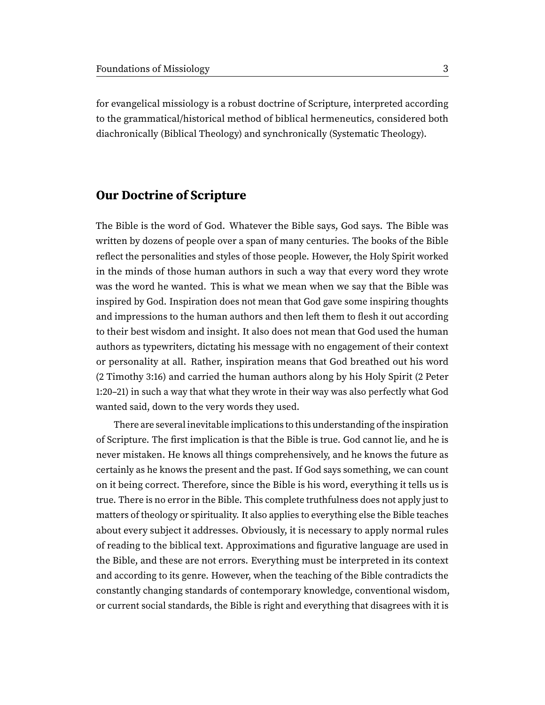for evangelical missiology is a robust doctrine of Scripture, interpreted according to the grammatical/historical method of biblical hermeneutics, considered both diachronically (Biblical Theology) and synchronically (Systematic Theology).

#### **Our Doctrine of Scripture**

The Bible is the word of God. Whatever the Bible says, God says. The Bible was written by dozens of people over a span of many centuries. The books of the Bible reflect the personalities and styles of those people. However, the Holy Spirit worked in the minds of those human authors in such a way that every word they wrote was the word he wanted. This is what we mean when we say that the Bible was inspired by God. Inspiration does not mean that God gave some inspiring thoughts and impressions to the human authors and then left them to flesh it out according to their best wisdom and insight. It also does not mean that God used the human authors as typewriters, dictating his message with no engagement of their context or personality at all. Rather, inspiration means that God breathed out his word (2 Timothy 3:16) and carried the human authors along by his Holy Spirit (2 Peter 1:20–21) in such a way that what they wrote in their way was also perfectly what God wanted said, down to the very words they used.

There are several inevitable implications to this understanding of the inspiration of Scripture. The first implication is that the Bible is true. God cannot lie, and he is never mistaken. He knows all things comprehensively, and he knows the future as certainly as he knows the present and the past. If God says something, we can count on it being correct. Therefore, since the Bible is his word, everything it tells us is true. There is no error in the Bible. This complete truthfulness does not apply just to matters of theology or spirituality. It also applies to everything else the Bible teaches about every subject it addresses. Obviously, it is necessary to apply normal rules of reading to the biblical text. Approximations and figurative language are used in the Bible, and these are not errors. Everything must be interpreted in its context and according to its genre. However, when the teaching of the Bible contradicts the constantly changing standards of contemporary knowledge, conventional wisdom, or current social standards, the Bible is right and everything that disagrees with it is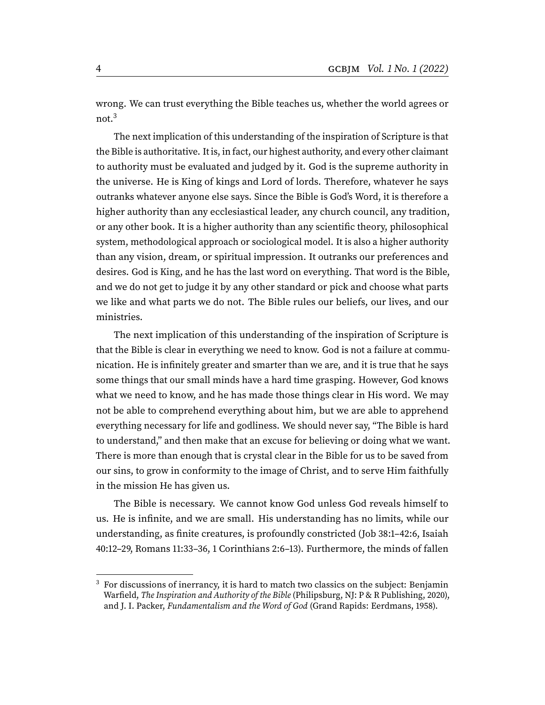<span id="page-3-1"></span>wrong. We can trust everything the Bible teaches us, whether the world agrees or not.<sup>[3](#page-3-0)</sup>

The next implication of this understanding of the inspiration of Scripture is that the Bible is authoritative. It is, in fact, our highest authority, and every other claimant to authority must be evaluated and judged by it. God is the supreme authority in the universe. He is King of kings and Lord of lords. Therefore, whatever he says outranks whatever anyone else says. Since the Bible is God's Word, it is therefore a higher authority than any ecclesiastical leader, any church council, any tradition, or any other book. It is a higher authority than any scientific theory, philosophical system, methodological approach or sociological model. It is also a higher authority than any vision, dream, or spiritual impression. It outranks our preferences and desires. God is King, and he has the last word on everything. That word is the Bible, and we do not get to judge it by any other standard or pick and choose what parts we like and what parts we do not. The Bible rules our beliefs, our lives, and our ministries.

The next implication of this understanding of the inspiration of Scripture is that the Bible is clear in everything we need to know. God is not a failure at communication. He is infinitely greater and smarter than we are, and it is true that he says some things that our small minds have a hard time grasping. However, God knows what we need to know, and he has made those things clear in His word. We may not be able to comprehend everything about him, but we are able to apprehend everything necessary for life and godliness. We should never say, "The Bible is hard to understand," and then make that an excuse for believing or doing what we want. There is more than enough that is crystal clear in the Bible for us to be saved from our sins, to grow in conformity to the image of Christ, and to serve Him faithfully in the mission He has given us.

The Bible is necessary. We cannot know God unless God reveals himself to us. He is infinite, and we are small. His understanding has no limits, while our understanding, as finite creatures, is profoundly constricted (Job 38:1–42:6, Isaiah 40:12–29, Romans 11:33–36, 1 Corinthians 2:6–13). Furthermore, the minds of fallen

<span id="page-3-0"></span> $3\,$  $3\,$  For discussions of inerrancy, it is hard to match two classics on the subject: Benjamin Warfield, The Inspiration and Authority of the Bible (Philipsburg, NJ: P & R Publishing, 2020), and J. I. Packer, Fundamentalism and the Word of God (Grand Rapids: Eerdmans, 1958).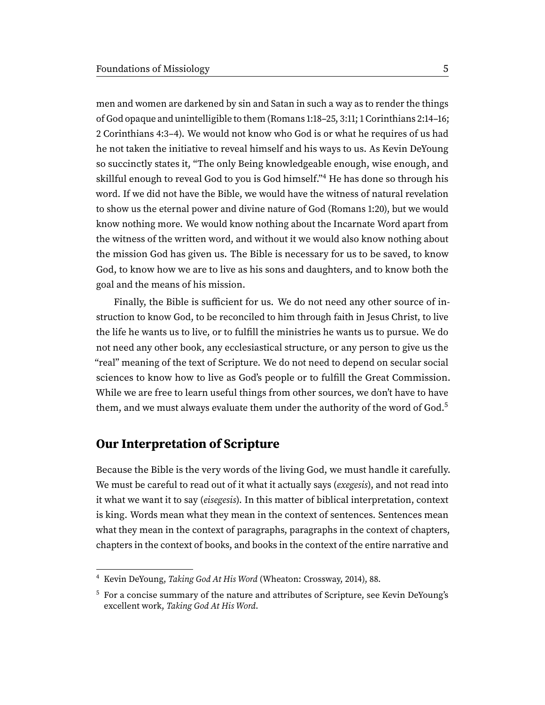<span id="page-4-2"></span>men and women are darkened by sin and Satan in such a way as to render the things of God opaque and unintelligible to them (Romans 1:18–25, 3:11; 1 Corinthians 2:14–16; 2 Corinthians 4:3–4). We would not know who God is or what he requires of us had he not taken the initiative to reveal himself and his ways to us. As Kevin DeYoung so succinctly states it, "The only Being knowledgeable enough, wise enough, and skillful enough to reveal God to you is God himself."<sup>[4](#page-4-0)</sup> He has done so through his word. If we did not have the Bible, we would have the witness of natural revelation to show us the eternal power and divine nature of God (Romans 1:20), but we would know nothing more. We would know nothing about the Incarnate Word apart from the witness of the written word, and without it we would also know nothing about the mission God has given us. The Bible is necessary for us to be saved, to know God, to know how we are to live as his sons and daughters, and to know both the goal and the means of his mission.

Finally, the Bible is sufficient for us. We do not need any other source of instruction to know God, to be reconciled to him through faith in Jesus Christ, to live the life he wants us to live, or to fulfill the ministries he wants us to pursue. We do not need any other book, any ecclesiastical structure, or any person to give us the "real" meaning of the text of Scripture. We do not need to depend on secular social sciences to know how to live as God's people or to fulfill the Great Commission. While we are free to learn useful things from other sources, we don't have to have them, and we must always evaluate them under the authority of the word of  $God<sup>5</sup>$  $God<sup>5</sup>$  $God<sup>5</sup>$ 

## <span id="page-4-3"></span>**Our Interpretation of Scripture**

Because the Bible is the very words of the living God, we must handle it carefully. We must be careful to read out of it what it actually says (exegesis), and not read into it what we want it to say (eisegesis). In this matter of biblical interpretation, context is king. Words mean what they mean in the context of sentences. Sentences mean what they mean in the context of paragraphs, paragraphs in the context of chapters, chapters in the context of books, and books in the context of the entire narrative and

<span id="page-4-0"></span>[<sup>4</sup>](#page-4-2) Kevin DeYoung, Taking God At His Word (Wheaton: Crossway, 2014), 88.

<span id="page-4-1"></span><sup>&</sup>lt;sup>[5](#page-4-3)</sup> For a concise summary of the nature and attributes of Scripture, see Kevin DeYoung's excellent work, Taking God At His Word.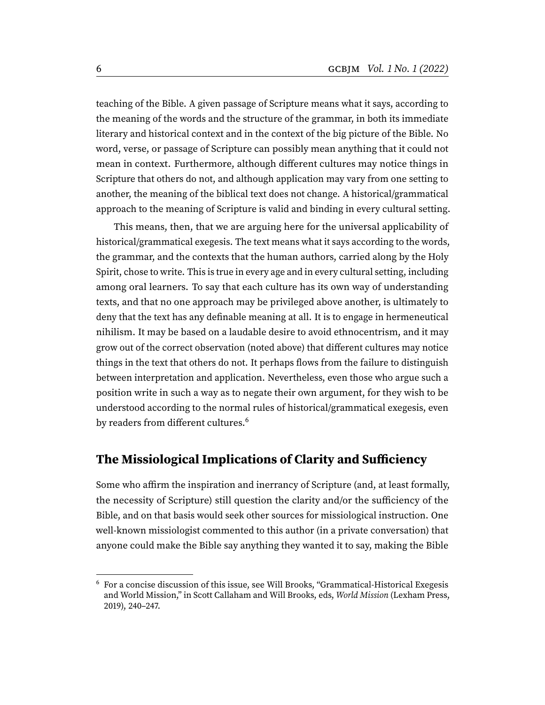teaching of the Bible. A given passage of Scripture means what it says, according to the meaning of the words and the structure of the grammar, in both its immediate literary and historical context and in the context of the big picture of the Bible. No word, verse, or passage of Scripture can possibly mean anything that it could not mean in context. Furthermore, although different cultures may notice things in Scripture that others do not, and although application may vary from one setting to another, the meaning of the biblical text does not change. A historical/grammatical approach to the meaning of Scripture is valid and binding in every cultural setting.

This means, then, that we are arguing here for the universal applicability of historical/grammatical exegesis. The text means what it says according to the words, the grammar, and the contexts that the human authors, carried along by the Holy Spirit, chose to write. This is true in every age and in every cultural setting, including among oral learners. To say that each culture has its own way of understanding texts, and that no one approach may be privileged above another, is ultimately to deny that the text has any definable meaning at all. It is to engage in hermeneutical nihilism. It may be based on a laudable desire to avoid ethnocentrism, and it may grow out of the correct observation (noted above) that different cultures may notice things in the text that others do not. It perhaps flows from the failure to distinguish between interpretation and application. Nevertheless, even those who argue such a position write in such a way as to negate their own argument, for they wish to be understood according to the normal rules of historical/grammatical exegesis, even by readers from different cultures.<sup>[6](#page-5-0)</sup>

# <span id="page-5-1"></span>**The Missiological Implications of Clarity and Sufficiency**

Some who affirm the inspiration and inerrancy of Scripture (and, at least formally, the necessity of Scripture) still question the clarity and/or the sufficiency of the Bible, and on that basis would seek other sources for missiological instruction. One well-known missiologist commented to this author (in a private conversation) that anyone could make the Bible say anything they wanted it to say, making the Bible

<span id="page-5-0"></span> $6$  For a concise discussion of this issue, see Will Brooks, "Grammatical-Historical Exegesis and World Mission," in Scott Callaham and Will Brooks, eds, World Mission (Lexham Press, 2019), 240–247.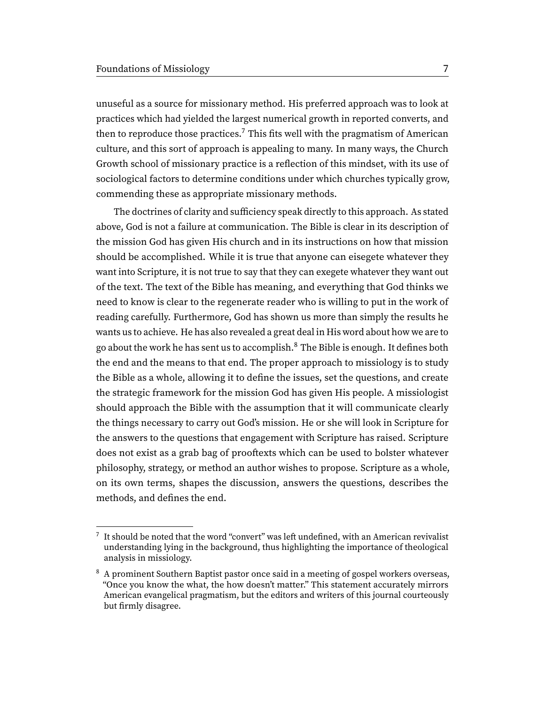<span id="page-6-2"></span>unuseful as a source for missionary method. His preferred approach was to look at practices which had yielded the largest numerical growth in reported converts, and then to reproduce those practices.<sup>[7](#page-6-0)</sup> This fits well with the pragmatism of American culture, and this sort of approach is appealing to many. In many ways, the Church Growth school of missionary practice is a reflection of this mindset, with its use of sociological factors to determine conditions under which churches typically grow, commending these as appropriate missionary methods.

<span id="page-6-3"></span>The doctrines of clarity and sufficiency speak directly to this approach. As stated above, God is not a failure at communication. The Bible is clear in its description of the mission God has given His church and in its instructions on how that mission should be accomplished. While it is true that anyone can eisegete whatever they want into Scripture, it is not true to say that they can exegete whatever they want out of the text. The text of the Bible has meaning, and everything that God thinks we need to know is clear to the regenerate reader who is willing to put in the work of reading carefully. Furthermore, God has shown us more than simply the results he wants us to achieve. He has also revealed a great deal in His word about how we are to go about the work he has sent us to accomplish.<sup>[8](#page-6-1)</sup> The Bible is enough. It defines both the end and the means to that end. The proper approach to missiology is to study the Bible as a whole, allowing it to define the issues, set the questions, and create the strategic framework for the mission God has given His people. A missiologist should approach the Bible with the assumption that it will communicate clearly the things necessary to carry out God's mission. He or she will look in Scripture for the answers to the questions that engagement with Scripture has raised. Scripture does not exist as a grab bag of prooftexts which can be used to bolster whatever philosophy, strategy, or method an author wishes to propose. Scripture as a whole, on its own terms, shapes the discussion, answers the questions, describes the methods, and defines the end.

<span id="page-6-0"></span>It should be noted that the word "convert" was left undefined, with an American revivalist understanding lying in the background, thus highlighting the importance of theological analysis in missiology.

<span id="page-6-1"></span><sup>&</sup>lt;sup>[8](#page-6-3)</sup> A prominent Southern Baptist pastor once said in a meeting of gospel workers overseas, "Once you know the what, the how doesn't matter." This statement accurately mirrors American evangelical pragmatism, but the editors and writers of this journal courteously but firmly disagree.